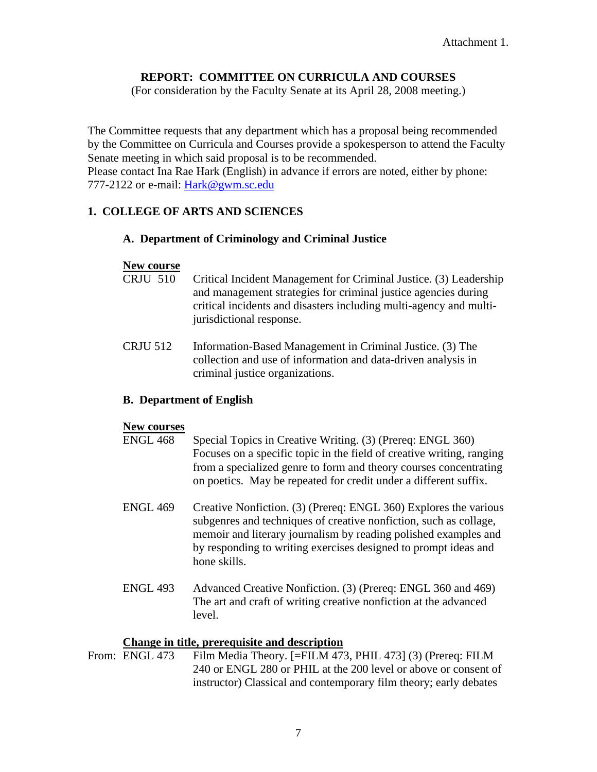# **REPORT: COMMITTEE ON CURRICULA AND COURSES**

(For consideration by the Faculty Senate at its April 28, 2008 meeting.)

The Committee requests that any department which has a proposal being recommended by the Committee on Curricula and Courses provide a spokesperson to attend the Faculty Senate meeting in which said proposal is to be recommended. Please contact Ina Rae Hark (English) in advance if errors are noted, either by phone: 777-2122 or e-mail: [Hark@gwm.sc.edu](mailto:Hark@gwm.sc.edu)

#### **1. COLLEGE OF ARTS AND SCIENCES**

#### **A. Department of Criminology and Criminal Justice**

#### **New course**

- CRJU 510 Critical Incident Management for Criminal Justice. (3) Leadership and management strategies for criminal justice agencies during critical incidents and disasters including multi-agency and multijurisdictional response.
- CRJU 512 Information-Based Management in Criminal Justice. (3) The collection and use of information and data-driven analysis in criminal justice organizations.

#### **B. Department of English**

#### **New courses**

- ENGL 468 Special Topics in Creative Writing. (3) (Prereq: ENGL 360) Focuses on a specific topic in the field of creative writing, ranging from a specialized genre to form and theory courses concentrating on poetics. May be repeated for credit under a different suffix.
- ENGL 469 Creative Nonfiction. (3) (Prereq: ENGL 360) Explores the various subgenres and techniques of creative nonfiction, such as collage, memoir and literary journalism by reading polished examples and by responding to writing exercises designed to prompt ideas and hone skills.
- ENGL 493 Advanced Creative Nonfiction. (3) (Prereq: ENGL 360 and 469) The art and craft of writing creative nonfiction at the advanced level.

#### **Change in title, prerequisite and description**

From: ENGL 473 Film Media Theory. [=FILM 473, PHIL 473] (3) (Prereq: FILM 240 or ENGL 280 or PHIL at the 200 level or above or consent of instructor) Classical and contemporary film theory; early debates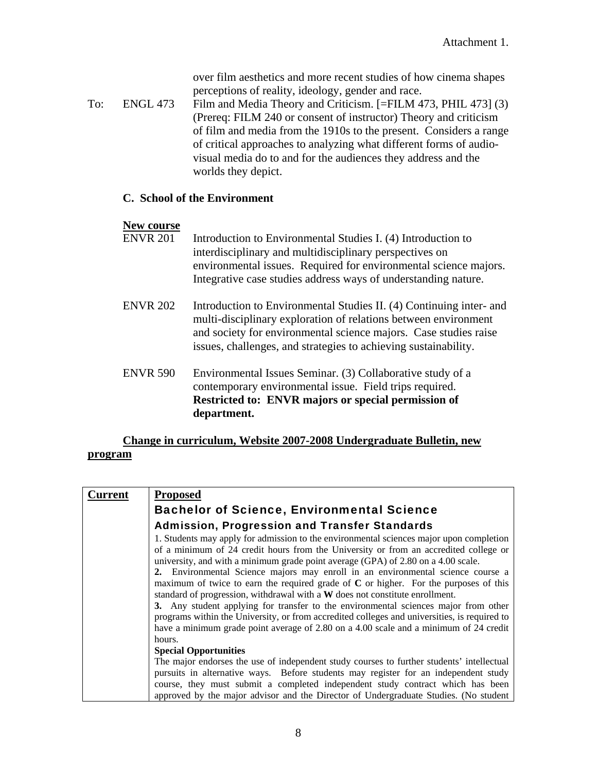over film aesthetics and more recent studies of how cinema shapes perceptions of reality, ideology, gender and race.

To: ENGL 473 Film and Media Theory and Criticism. [=FILM 473, PHIL 473] (3) (Prereq: FILM 240 or consent of instructor) Theory and criticism of film and media from the 1910s to the present. Considers a range of critical approaches to analyzing what different forms of audiovisual media do to and for the audiences they address and the worlds they depict.

#### **C. School of the Environment**

#### **New course**

- ENVR 201 Introduction to Environmental Studies I. (4) Introduction to interdisciplinary and multidisciplinary perspectives on environmental issues. Required for environmental science majors. Integrative case studies address ways of understanding nature.
- ENVR 202 Introduction to Environmental Studies II. (4) Continuing inter- and multi-disciplinary exploration of relations between environment and society for environmental science majors. Case studies raise issues, challenges, and strategies to achieving sustainability.
- ENVR 590 Environmental Issues Seminar. (3) Collaborative study of a contemporary environmental issue. Field trips required. **Restricted to: ENVR majors or special permission of department.**

# **Change in curriculum, Website 2007-2008 Undergraduate Bulletin, new program**

| Current | <b>Proposed</b>                                                                                                                                                                                                                                                                                                                                                                                                                                                                                                                                                                                                                                                                                                                                                                                                   |  |  |
|---------|-------------------------------------------------------------------------------------------------------------------------------------------------------------------------------------------------------------------------------------------------------------------------------------------------------------------------------------------------------------------------------------------------------------------------------------------------------------------------------------------------------------------------------------------------------------------------------------------------------------------------------------------------------------------------------------------------------------------------------------------------------------------------------------------------------------------|--|--|
|         | <b>Bachelor of Science, Environmental Science</b>                                                                                                                                                                                                                                                                                                                                                                                                                                                                                                                                                                                                                                                                                                                                                                 |  |  |
|         | <b>Admission, Progression and Transfer Standards</b>                                                                                                                                                                                                                                                                                                                                                                                                                                                                                                                                                                                                                                                                                                                                                              |  |  |
|         | 1. Students may apply for admission to the environmental sciences major upon completion<br>of a minimum of 24 credit hours from the University or from an accredited college or<br>university, and with a minimum grade point average (GPA) of 2.80 on a 4.00 scale.<br>2. Environmental Science majors may enroll in an environmental science course a<br>maximum of twice to earn the required grade of $C$ or higher. For the purposes of this<br>standard of progression, withdrawal with a W does not constitute enrollment.<br>3. Any student applying for transfer to the environmental sciences major from other<br>programs within the University, or from accredited colleges and universities, is required to<br>have a minimum grade point average of 2.80 on a 4.00 scale and a minimum of 24 credit |  |  |
|         | hours.                                                                                                                                                                                                                                                                                                                                                                                                                                                                                                                                                                                                                                                                                                                                                                                                            |  |  |
|         | <b>Special Opportunities</b>                                                                                                                                                                                                                                                                                                                                                                                                                                                                                                                                                                                                                                                                                                                                                                                      |  |  |
|         | The major endorses the use of independent study courses to further students' intellectual                                                                                                                                                                                                                                                                                                                                                                                                                                                                                                                                                                                                                                                                                                                         |  |  |
|         | pursuits in alternative ways. Before students may register for an independent study                                                                                                                                                                                                                                                                                                                                                                                                                                                                                                                                                                                                                                                                                                                               |  |  |
|         | course, they must submit a completed independent study contract which has been                                                                                                                                                                                                                                                                                                                                                                                                                                                                                                                                                                                                                                                                                                                                    |  |  |
|         | approved by the major advisor and the Director of Undergraduate Studies. (No student                                                                                                                                                                                                                                                                                                                                                                                                                                                                                                                                                                                                                                                                                                                              |  |  |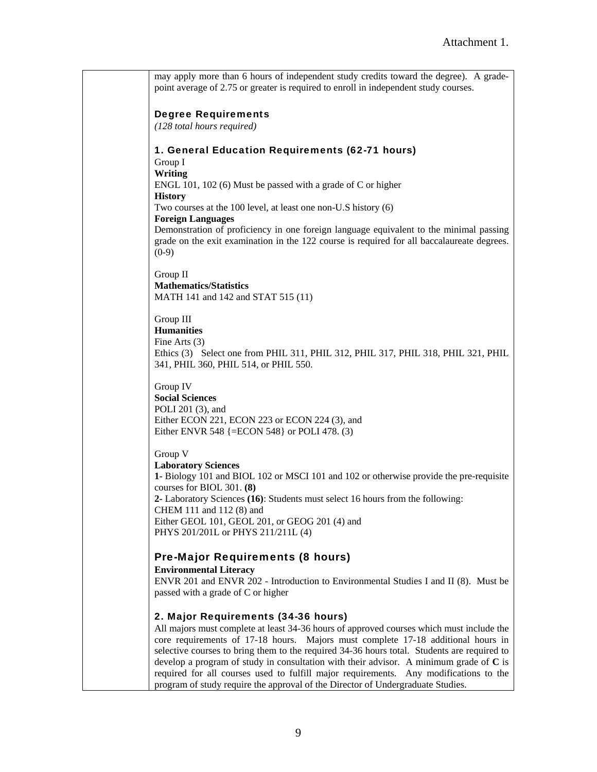may apply more than 6 hours of independent study credits toward the degree). A gradepoint average of 2.75 or greater is required to enroll in independent study courses.

#### Degree Requirements

*(128 total hours required)* 

#### 1. General Education Requirements (62-71 hours)

Group I **Writing**  ENGL 101, 102 (6) Must be passed with a grade of C or higher **History**  Two courses at the 100 level, at least one non-U.S history (6) **Foreign Languages** Demonstration of proficiency in one foreign language equivalent to the minimal passing grade on the exit examination in the 122 course is required for all baccalaureate degrees.  $(0-9)$ 

Group II **Mathematics/Statistics**  MATH 141 and 142 and STAT 515 (11)

#### Group III

**Humanities**  Fine Arts (3) Ethics (3) Select one from PHIL 311, PHIL 312, PHIL 317, PHIL 318, PHIL 321, PHIL 341, PHIL 360, PHIL 514, or PHIL 550.

# Group IV

**Social Sciences**  POLI 201 (3), and Either ECON 221, ECON 223 or ECON 224 (3), and Either ENVR 548 {=ECON 548} or POLI 478. (3)

#### Group V

**Laboratory Sciences 1-** Biology 101 and BIOL 102 or MSCI 101 and 102 or otherwise provide the pre-requisite courses for BIOL 301. **(8) 2-** Laboratory Sciences **(16)**: Students must select 16 hours from the following: CHEM 111 and 112 (8) and Either GEOL 101, GEOL 201, or GEOG 201 (4) and PHYS 201/201L or PHYS 211/211L (4)

#### Pre-Major Requirements (8 hours)

#### **Environmental Literacy**

ENVR 201 and ENVR 202 - Introduction to Environmental Studies I and II (8). Must be passed with a grade of C or higher

#### 2. Major Requirements (34-36 hours)

All majors must complete at least 34-36 hours of approved courses which must include the core requirements of 17-18 hours. Majors must complete 17-18 additional hours in selective courses to bring them to the required 34-36 hours total. Students are required to develop a program of study in consultation with their advisor. A minimum grade of **C** is required for all courses used to fulfill major requirements. Any modifications to the program of study require the approval of the Director of Undergraduate Studies.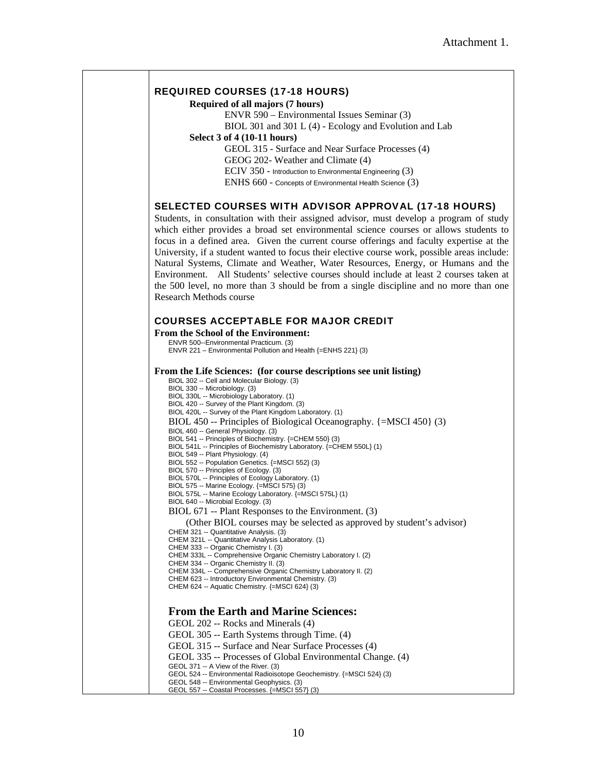#### REQUIRED COURSES (17-18 HOURS)

```
Required of all majors (7 hours)
```
ENVR 590 – Environmental Issues Seminar (3) BIOL 301 and 301 L (4) - Ecology and Evolution and Lab

#### **Select 3 of 4 (10-11 hours)**

GEOL 315 - Surface and Near Surface Processes (4)

GEOG 202- Weather and Climate (4)

ECIV 350 - Introduction to Environmental Engineering (3)

ENHS 660 - Concepts of Environmental Health Science (3)

#### SELECTED COURSES WITH ADVISOR APPROVAL (17-18 HOURS)

Students, in consultation with their assigned advisor, must develop a program of study which either provides a broad set environmental science courses or allows students to focus in a defined area. Given the current course offerings and faculty expertise at the University, if a student wanted to focus their elective course work, possible areas include: Natural Systems, Climate and Weather, Water Resources, Energy, or Humans and the Environment. All Students' selective courses should include at least 2 courses taken at the 500 level, no more than 3 should be from a single discipline and no more than one Research Methods course

#### COURSES ACCEPTABLE FOR MAJOR CREDIT

**From the School of the Environment:**  ENVR 500--Environmental Practicum. (3) ENVR 221 – Environmental Pollution and Health {=ENHS 221} (3) **From the Life Sciences: (for course descriptions see unit listing)**  BIOL 302 -- Cell and Molecular Biology. (3) BIOL 330 -- Microbiology. (3) BIOL 330L -- Microbiology Laboratory. (1) BIOL 420 -- Survey of the Plant Kingdom. (3) BIOL 420L -- Survey of the Plant Kingdom Laboratory. (1) BIOL 450 -- Principles of Biological Oceanography. {=MSCI 450} (3) BIOL 460 -- General Physiology. (3) BIOL 541 -- Principles of Biochemistry. {=CHEM 550} (3) BIOL 541L -- Principles of Biochemistry Laboratory. {=CHEM 550L} (1) BIOL 549 -- Plant Physiology. (4) BIOL 552 -- Population Genetics. {=MSCI 552} (3) BIOL 570 -- Principles of Ecology. (3) BIOL 570L -- Principles of Ecology Laboratory. (1) BIOL 575 -- Marine Ecology. {=MSCI 575} (3) BIOL 575L -- Marine Ecology Laboratory. {=MSCI 575L} (1) BIOL 640 -- Microbial Ecology. (3) BIOL 671 -- Plant Responses to the Environment. (3) (Other BIOL courses may be selected as approved by student's advisor) CHEM 321 -- Quantitative Analysis. (3) CHEM 321L -- Quantitative Analysis Laboratory. (1) CHEM 333 -- Organic Chemistry I. (3) CHEM 333L -- Comprehensive Organic Chemistry Laboratory I. (2) CHEM 334 -- Organic Chemistry II. (3) CHEM 334L -- Comprehensive Organic Chemistry Laboratory II. (2) CHEM 623 -- Introductory Environmental Chemistry. (3) CHEM 624 -- Aquatic Chemistry. {=MSCI 624} (3) **From the Earth and Marine Sciences:**  GEOL 202 -- Rocks and Minerals (4) GEOL 305 -- Earth Systems through Time. (4) GEOL 315 -- Surface and Near Surface Processes (4) GEOL 335 -- Processes of Global Environmental Change. (4) GEOL 371 -- A View of the River. (3)

GEOL 524 -- Environmental Radioisotope Geochemistry. {=MSCI 524} (3)

GEOL 548 -- Environmental Geophysics. (3) GEOL 557 -- Coastal Processes. {=MSCI 557} (3)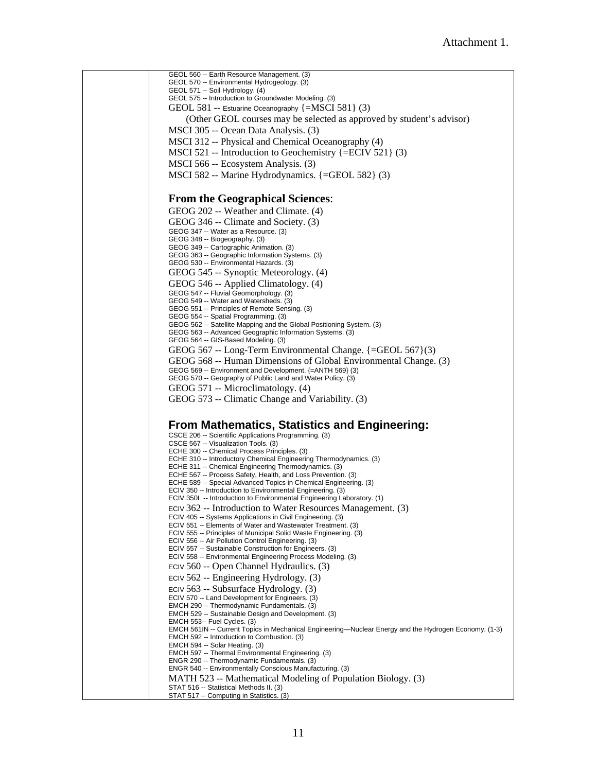GEOL 560 -- Earth Resource Management. (3) GEOL 570 -- Environmental Hydrogeology. (3) GEOL 571 -- Soil Hydrology. (4) GEOL 575 -- Introduction to Groundwater Modeling. (3) GEOL 581 -- Estuarine Oceanography {=MSCI 581} (3) (Other GEOL courses may be selected as approved by student's advisor) MSCI 305 -- Ocean Data Analysis. (3) MSCI 312 -- Physical and Chemical Oceanography (4) MSCI 521 -- Introduction to Geochemistry {=ECIV 521} (3) MSCI 566 -- Ecosystem Analysis. (3) MSCI 582 -- Marine Hydrodynamics. {=GEOL 582} (3) **From the Geographical Sciences**: GEOG 202 -- Weather and Climate. (4) GEOG 346 -- Climate and Society. (3) GEOG 347 -- Water as a Resource. (3) GEOG 348 -- Biogeography. (3) GEOG 349 -- Cartographic Animation. (3) GEOG 363 -- Geographic Information Systems. (3) GEOG 530 -- Environmental Hazards. (3) GEOG 545 -- Synoptic Meteorology. (4) GEOG 546 -- Applied Climatology. (4) GEOG 547 -- Fluvial Geomorphology. (3) GEOG 549 -- Water and Watersheds. (3) GEOG 551 -- Principles of Remote Sensing. (3) GEOG 554 -- Spatial Programming. (3) GEOG 562 -- Satellite Mapping and the Global Positioning System. (3) GEOG 563 -- Advanced Geographic Information Systems. (3) GEOG 564 -- GIS-Based Modeling. (3) GEOG 567 -- Long-Term Environmental Change. {=GEOL 567}(3) GEOG 568 -- Human Dimensions of Global Environmental Change. (3) GEOG 569 -- Environment and Development. {=ANTH 569} (3) GEOG 570 -- Geography of Public Land and Water Policy. (3) GEOG 571 -- Microclimatology. (4) GEOG 573 -- Climatic Change and Variability. (3) **From Mathematics, Statistics and Engineering:**  CSCE 206 -- Scientific Applications Programming. (3) CSCE 567 -- Visualization Tools. (3) ECHE 300 -- Chemical Process Principles. (3) ECHE 310 -- Introductory Chemical Engineering Thermodynamics. (3) ECHE 311 -- Chemical Engineering Thermodynamics. (3) ECHE 567 -- Process Safety, Health, and Loss Prevention. (3) ECHE 589 -- Special Advanced Topics in Chemical Engineering. (3) ECIV 350 -- Introduction to Environmental Engineering. (3) ECIV 350L -- Introduction to Environmental Engineering Laboratory. (1) ECIV 362 -- Introduction to Water Resources Management. (3) ECIV 405 -- Systems Applications in Civil Engineering. (3) ECIV 551 -- Elements of Water and Wastewater Treatment. (3) ECIV 555 -- Principles of Municipal Solid Waste Engineering. (3) ECIV 556 -- Air Pollution Control Engineering. (3) ECIV 557 -- Sustainable Construction for Engineers. (3) ECIV 558 -- Environmental Engineering Process Modeling. (3) ECIV 560 -- Open Channel Hydraulics. (3) ECIV 562 -- Engineering Hydrology. (3) ECIV 563 -- Subsurface Hydrology. (3) ECIV 570 -- Land Development for Engineers. (3) EMCH 290 -- Thermodynamic Fundamentals. (3) EMCH 529 -- Sustainable Design and Development. (3) EMCH 553-- Fuel Cycles. (3) EMCH 561IN -- Current Topics in Mechanical Engineering—Nuclear Energy and the Hydrogen Economy. (1-3) EMCH 592 -- Introduction to Combustion. (3) EMCH 594 -- Solar Heating. (3) EMCH 597 -- Thermal Environmental Engineering. (3) ENGR 290 -- Thermodynamic Fundamentals. (3) ENGR 540 -- Environmentally Conscious Manufacturing. (3) MATH 523 -- Mathematical Modeling of Population Biology. (3) STAT 516 -- Statistical Methods II. (3) STAT 517 -- Computing in Statistics. (3)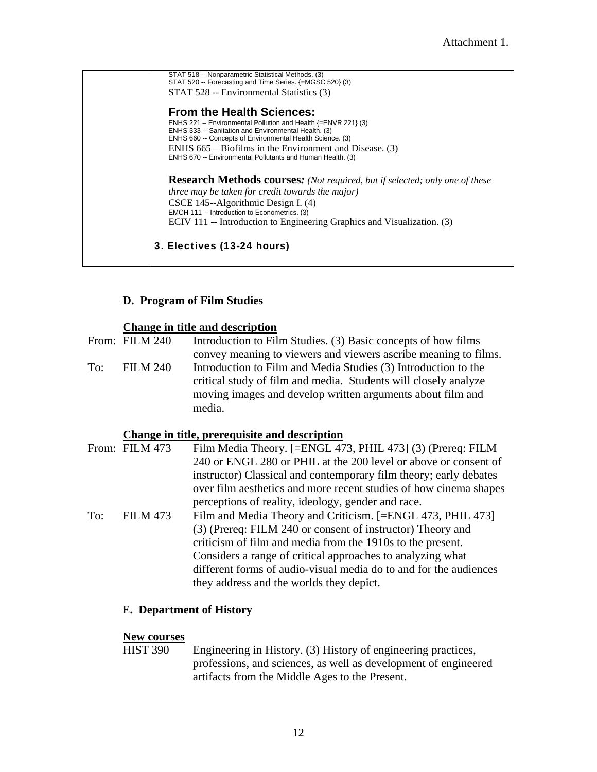STAT 518 -- Nonparametric Statistical Methods. (3) STAT 520 -- Forecasting and Time Series. {=MGSC 520} (3) STAT 528 -- Environmental Statistics (3) **From the Health Sciences:** ENHS 221 – Environmental Pollution and Health {=ENVR 221} (3) ENHS 333 -- Sanitation and Environmental Health. (3) ENHS 660 -- Concepts of Environmental Health Science. (3) ENHS 665 – Biofilms in the Environment and Disease. (3) ENHS 670 -- Environmental Pollutants and Human Health. (3) **Research Methods courses***: (Not required, but if selected; only one of these three may be taken for credit towards the major)*  CSCE 145--Algorithmic Design I. (4) EMCH 111 -- Introduction to Econometrics. (3) ECIV 111 -- Introduction to Engineering Graphics and Visualization. (3) 3. Electives (13-24 hours)

# **D. Program of Film Studies**

#### **Change in title and description**

From: FILM 240 Introduction to Film Studies. (3) Basic concepts of how films convey meaning to viewers and viewers ascribe meaning to films. To: FILM 240 Introduction to Film and Media Studies (3) Introduction to the critical study of film and media. Students will closely analyze moving images and develop written arguments about film and media.

#### **Change in title, prerequisite and description**

|     | From: FILM 473  | Film Media Theory. [=ENGL 473, PHIL 473] (3) (Prereq: FILM        |
|-----|-----------------|-------------------------------------------------------------------|
|     |                 | 240 or ENGL 280 or PHIL at the 200 level or above or consent of   |
|     |                 | instructor) Classical and contemporary film theory; early debates |
|     |                 | over film aesthetics and more recent studies of how cinema shapes |
|     |                 | perceptions of reality, ideology, gender and race.                |
| To: | <b>FILM 473</b> | Film and Media Theory and Criticism. [=ENGL 473, PHIL 473]        |
|     |                 | (3) (Prereq: FILM 240 or consent of instructor) Theory and        |
|     |                 | criticism of film and media from the 1910s to the present.        |
|     |                 | Considers a range of critical approaches to analyzing what        |
|     |                 | different forms of audio-visual media do to and for the audiences |
|     |                 | they address and the worlds they depict.                          |

#### E**. Department of History**

# **New courses**<br>HIST 390

Engineering in History. (3) History of engineering practices, professions, and sciences, as well as development of engineered artifacts from the Middle Ages to the Present.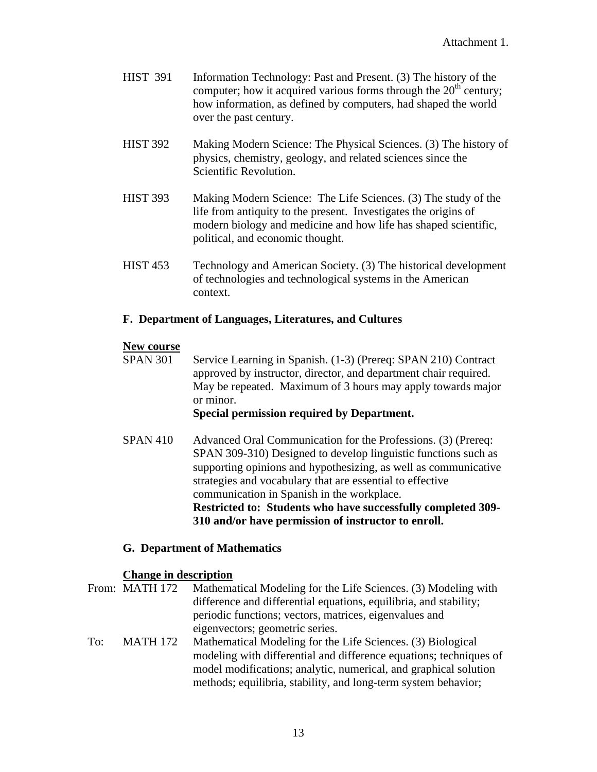- HIST 391 Information Technology: Past and Present. (3) The history of the computer; how it acquired various forms through the  $20<sup>th</sup>$  century; how information, as defined by computers, had shaped the world over the past century.
- HIST 392 Making Modern Science: The Physical Sciences. (3) The history of physics, chemistry, geology, and related sciences since the Scientific Revolution.
- HIST 393 Making Modern Science: The Life Sciences. (3) The study of the life from antiquity to the present. Investigates the origins of modern biology and medicine and how life has shaped scientific, political, and economic thought.
- HIST 453 Technology and American Society. (3) The historical development of technologies and technological systems in the American context.

# **F. Department of Languages, Literatures, and Cultures**

# **New course**

 SPAN 301 Service Learning in Spanish. (1-3) (Prereq: SPAN 210) Contract approved by instructor, director, and department chair required. May be repeated. Maximum of 3 hours may apply towards major or minor.

# **Special permission required by Department.**

SPAN 410 Advanced Oral Communication for the Professions. (3) (Prereq: SPAN 309-310) Designed to develop linguistic functions such as supporting opinions and hypothesizing, as well as communicative strategies and vocabulary that are essential to effective communication in Spanish in the workplace. **Restricted to: Students who have successfully completed 309- 310 and/or have permission of instructor to enroll.** 

# **G. Department of Mathematics**

# **Change in description**

From: MATH 172 Mathematical Modeling for the Life Sciences. (3) Modeling with difference and differential equations, equilibria, and stability; periodic functions; vectors, matrices, eigenvalues and eigenvectors; geometric series. To: MATH 172 Mathematical Modeling for the Life Sciences. (3) Biological modeling with differential and difference equations; techniques of model modifications; analytic, numerical, and graphical solution

methods; equilibria, stability, and long-term system behavior;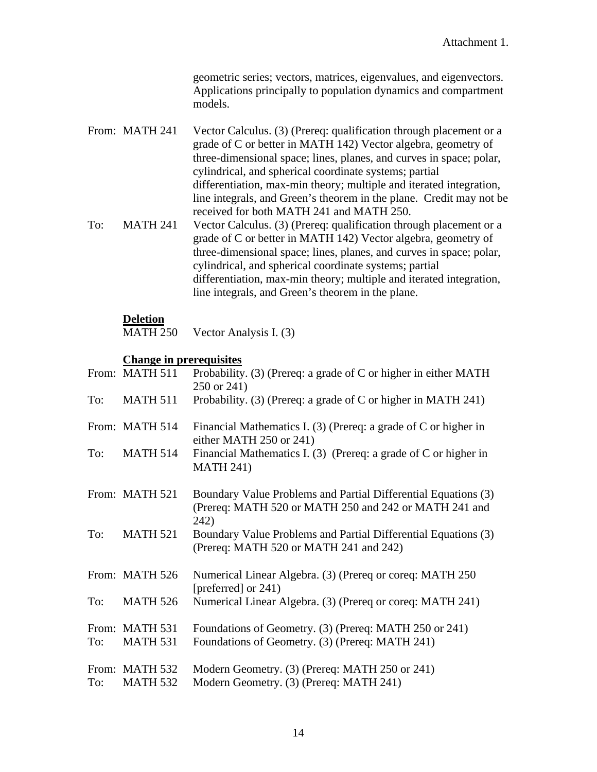geometric series; vectors, matrices, eigenvalues, and eigenvectors. Applications principally to population dynamics and compartment models.

- From: MATH 241 Vector Calculus. (3) (Prereq: qualification through placement or a grade of C or better in MATH 142) Vector algebra, geometry of three-dimensional space; lines, planes, and curves in space; polar, cylindrical, and spherical coordinate systems; partial differentiation, max-min theory; multiple and iterated integration, line integrals, and Green's theorem in the plane. Credit may not be received for both MATH 241 and MATH 250. To: MATH 241 Vector Calculus. (3) (Prereq: qualification through placement or a
- grade of C or better in MATH 142) Vector algebra, geometry of three-dimensional space; lines, planes, and curves in space; polar, cylindrical, and spherical coordinate systems; partial differentiation, max-min theory; multiple and iterated integration, line integrals, and Green's theorem in the plane.

#### **Deletion**

MATH 250 Vector Analysis I. (3)

#### **Change in prerequisites**

|     | From: MATH 511                    | Probability. $(3)$ (Prereq: a grade of C or higher in either MATH<br>250 or 241)                                                |
|-----|-----------------------------------|---------------------------------------------------------------------------------------------------------------------------------|
| To: | <b>MATH 511</b>                   | Probability. (3) (Prereq: a grade of C or higher in MATH 241)                                                                   |
|     | From: MATH 514                    | Financial Mathematics I. (3) (Prereq: a grade of C or higher in<br>either MATH 250 or 241)                                      |
| To: | <b>MATH 514</b>                   | Financial Mathematics I. $(3)$ (Prereq: a grade of C or higher in<br><b>MATH 241)</b>                                           |
|     | From: MATH 521                    | Boundary Value Problems and Partial Differential Equations (3)<br>(Prereq: MATH 520 or MATH 250 and 242 or MATH 241 and<br>242) |
| To: | <b>MATH 521</b>                   | Boundary Value Problems and Partial Differential Equations (3)<br>(Prereq: MATH 520 or MATH 241 and 242)                        |
|     | From: MATH 526                    | Numerical Linear Algebra. (3) (Prereq or coreq: MATH 250<br>[preferred] or 241)                                                 |
| To: | <b>MATH 526</b>                   | Numerical Linear Algebra. (3) (Prereq or coreq: MATH 241)                                                                       |
| To: | From: MATH 531<br><b>MATH 531</b> | Foundations of Geometry. (3) (Prereq: MATH 250 or 241)<br>Foundations of Geometry. (3) (Prereq: MATH 241)                       |
| To: | From: MATH 532<br><b>MATH 532</b> | Modern Geometry. (3) (Prereq: MATH 250 or 241)<br>Modern Geometry. (3) (Prereq: MATH 241)                                       |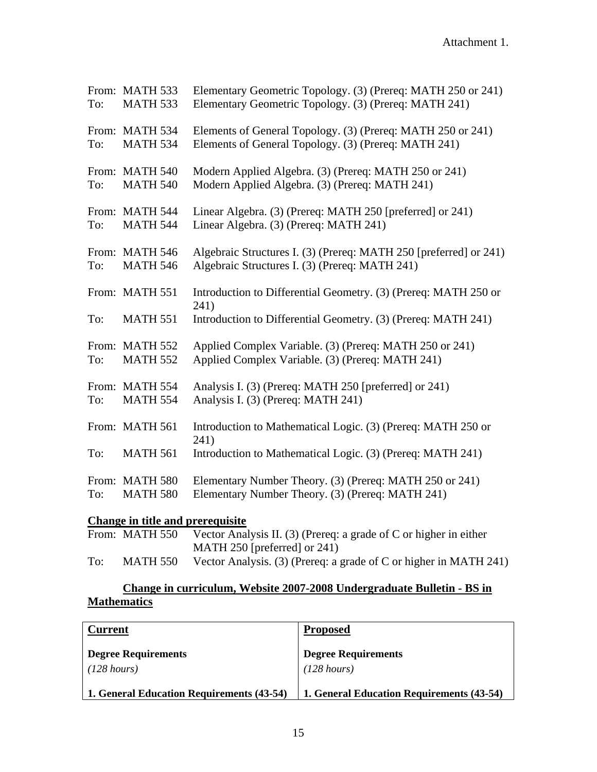| To:    | From: MATH 533<br><b>MATH 533</b>                                                                                                   | Elementary Geometric Topology. (3) (Prereq: MATH 250 or 241)<br>Elementary Geometric Topology. (3) (Prereq: MATH 241) |
|--------|-------------------------------------------------------------------------------------------------------------------------------------|-----------------------------------------------------------------------------------------------------------------------|
| To:    | From: MATH 534<br><b>MATH 534</b>                                                                                                   | Elements of General Topology. (3) (Prereq: MATH 250 or 241)<br>Elements of General Topology. (3) (Prereq: MATH 241)   |
| To:    | From: MATH 540<br><b>MATH 540</b>                                                                                                   | Modern Applied Algebra. (3) (Prereq: MATH 250 or 241)<br>Modern Applied Algebra. (3) (Prereq: MATH 241)               |
| To:    | From: MATH 544<br><b>MATH 544</b>                                                                                                   | Linear Algebra. (3) (Prereq: MATH 250 [preferred] or 241)<br>Linear Algebra. (3) (Prereq: MATH 241)                   |
| To:    | From: MATH 546<br><b>MATH 546</b>                                                                                                   | Algebraic Structures I. (3) (Prereq: MATH 250 [preferred] or 241)<br>Algebraic Structures I. (3) (Prereq: MATH 241)   |
|        | From: MATH 551                                                                                                                      | Introduction to Differential Geometry. (3) (Prereq: MATH 250 or<br>241)                                               |
| To:    | <b>MATH 551</b>                                                                                                                     | Introduction to Differential Geometry. (3) (Prereq: MATH 241)                                                         |
| To:    | From: MATH 552<br><b>MATH 552</b>                                                                                                   | Applied Complex Variable. (3) (Prereq: MATH 250 or 241)<br>Applied Complex Variable. (3) (Prereq: MATH 241)           |
| To:    | From: MATH 554<br><b>MATH 554</b>                                                                                                   | Analysis I. (3) (Prereq: MATH 250 [preferred] or 241)<br>Analysis I. (3) (Prereq: MATH 241)                           |
|        | From: MATH 561                                                                                                                      | Introduction to Mathematical Logic. (3) (Prereq: MATH 250 or<br>241)                                                  |
| To:    | <b>MATH 561</b>                                                                                                                     | Introduction to Mathematical Logic. (3) (Prereq: MATH 241)                                                            |
| To:    | From: MATH 580<br><b>MATH 580</b>                                                                                                   | Elementary Number Theory. (3) (Prereq: MATH 250 or 241)<br>Elementary Number Theory. (3) (Prereq: MATH 241)           |
| $\sim$ | $\mathbf{A}$ and $\mathbf{A}$ and $\mathbf{A}$ and $\mathbf{A}$ and $\mathbf{A}$ and $\mathbf{A}$ and $\mathbf{A}$ and $\mathbf{A}$ | $\cdot$ $\cdot$ $\cdot$                                                                                               |

# **Change in title and prerequisite**

|     | From: MATH 550 | Vector Analysis II. (3) (Prereq: a grade of $C$ or higher in either |
|-----|----------------|---------------------------------------------------------------------|
|     |                | MATH 250 [preferred] or $241$ )                                     |
| To: | MATH 550       | Vector Analysis. (3) (Prereq: a grade of C or higher in MATH 241)   |

# **Change in curriculum, Website 2007-2008 Undergraduate Bulletin - BS in Mathematics**

| <b>Current</b>                            | <b>Proposed</b>                           |
|-------------------------------------------|-------------------------------------------|
| <b>Degree Requirements</b><br>(128 hours) | <b>Degree Requirements</b><br>(128 hours) |
| 1. General Education Requirements (43-54) | 1. General Education Requirements (43-54) |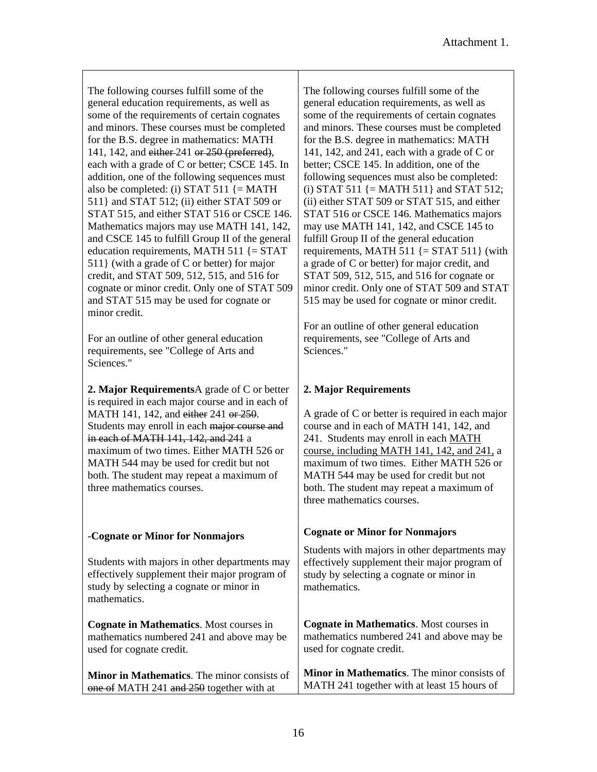The following courses fulfill some of the general education requirements, as well as some of the requirements of certain cognates and minors. These courses must be completed for the B.S. degree in mathematics: MATH 141, 142, and either 241 or 250 (preferred), each with a grade of C or better; CSCE 145. In addition, one of the following sequences must also be completed: (i) STAT 511  $\{ = \text{MATH}$ 511} and STAT 512; (ii) either STAT 509 or STAT 515, and either STAT 516 or CSCE 146. Mathematics majors may use MATH 141, 142, and CSCE 145 to fulfill Group II of the general education requirements, MATH 511  $\{ = \text{STAT}$ 511} (with a grade of C or better) for major credit, and STAT 509, 512, 515, and 516 for cognate or minor credit. Only one of STAT 509 and STAT 515 may be used for cognate or minor credit.

For an outline of other general education requirements, see "College of Arts and Sciences."

**2. Major Requirements**A grade of C or better is required in each major course and in each of MATH 141, 142, and either 241 or 250. Students may enroll in each major course and in each of MATH 141, 142, and 241 a maximum of two times. Either MATH 526 or MATH 544 may be used for credit but not both. The student may repeat a maximum of three mathematics courses.

#### -**Cognate or Minor for Nonmajors**

Students with majors in other departments may effectively supplement their major program of study by selecting a cognate or minor in mathematics.

**Cognate in Mathematics**. Most courses in mathematics numbered 241 and above may be used for cognate credit.

**Minor in Mathematics**. The minor consists of one of MATH 241 and 250 together with at

The following courses fulfill some of the general education requirements, as well as some of the requirements of certain cognates and minors. These courses must be completed for the B.S. degree in mathematics: MATH 141, 142, and 241, each with a grade of C or better; CSCE 145. In addition, one of the following sequences must also be completed: (i) STAT 511  $\{ = \text{MATH 511} \}$  and STAT 512; (ii) either STAT 509 or STAT 515, and either STAT 516 or CSCE 146. Mathematics majors may use MATH 141, 142, and CSCE 145 to fulfill Group II of the general education requirements, MATH 511  $\{=\text{STAT } 511\}$  (with a grade of C or better) for major credit, and STAT 509, 512, 515, and 516 for cognate or minor credit. Only one of STAT 509 and STAT 515 may be used for cognate or minor credit.

For an outline of other general education requirements, see "College of Arts and Sciences."

# **2. Major Requirements**

A grade of C or better is required in each major course and in each of MATH 141, 142, and 241. Students may enroll in each MATH course, including MATH 141, 142, and 241, a maximum of two times. Either MATH 526 or MATH 544 may be used for credit but not both. The student may repeat a maximum of three mathematics courses.

# **Cognate or Minor for Nonmajors**

Students with majors in other departments may effectively supplement their major program of study by selecting a cognate or minor in mathematics.

**Cognate in Mathematics**. Most courses in mathematics numbered 241 and above may be used for cognate credit.

**Minor in Mathematics**. The minor consists of MATH 241 together with at least 15 hours of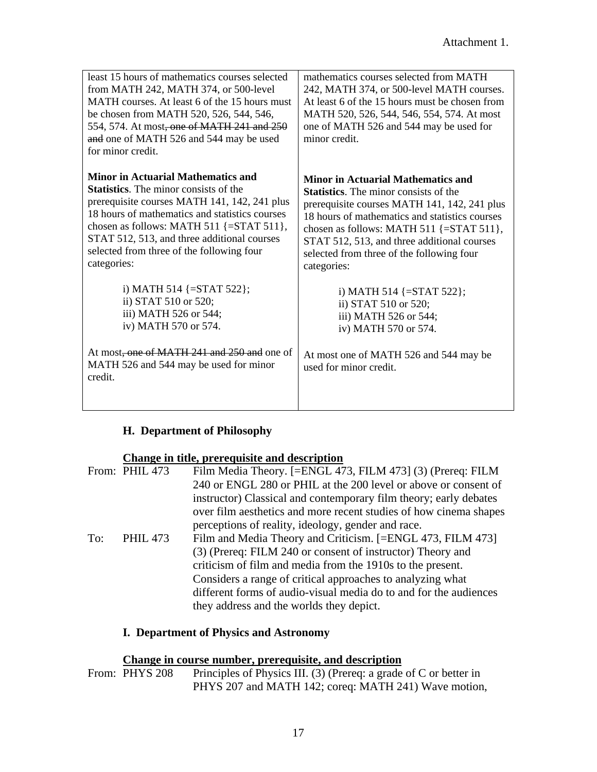| least 15 hours of mathematics courses selected<br>from MATH 242, MATH 374, or 500-level<br>MATH courses. At least 6 of the 15 hours must<br>be chosen from MATH 520, 526, 544, 546,<br>554, 574. At most, one of MATH 241 and 250<br>and one of MATH 526 and 544 may be used<br>for minor credit.                                                                | mathematics courses selected from MATH<br>242, MATH 374, or 500-level MATH courses.<br>At least 6 of the 15 hours must be chosen from<br>MATH 520, 526, 544, 546, 554, 574. At most<br>one of MATH 526 and 544 may be used for<br>minor credit.                                                                                                                  |
|------------------------------------------------------------------------------------------------------------------------------------------------------------------------------------------------------------------------------------------------------------------------------------------------------------------------------------------------------------------|------------------------------------------------------------------------------------------------------------------------------------------------------------------------------------------------------------------------------------------------------------------------------------------------------------------------------------------------------------------|
| <b>Minor in Actuarial Mathematics and</b><br><b>Statistics</b> . The minor consists of the<br>prerequisite courses MATH 141, 142, 241 plus<br>18 hours of mathematics and statistics courses<br>chosen as follows: MATH 511 $\{=\text{STAT } 511\}$ ,<br>STAT 512, 513, and three additional courses<br>selected from three of the following four<br>categories: | <b>Minor in Actuarial Mathematics and</b><br><b>Statistics</b> . The minor consists of the<br>prerequisite courses MATH 141, 142, 241 plus<br>18 hours of mathematics and statistics courses<br>chosen as follows: MATH 511 $\{=\text{STAT } 511\}$ ,<br>STAT 512, 513, and three additional courses<br>selected from three of the following four<br>categories: |
| i) MATH 514 $\{=\text{STAT } 522\};$<br>ii) STAT 510 or 520;<br>iii) MATH 526 or 544;<br>iv) MATH 570 or 574.<br>At most, one of MATH 241 and 250 and one of<br>MATH 526 and 544 may be used for minor                                                                                                                                                           | i) MATH 514 $\{=\text{STAT } 522\};$<br>ii) STAT 510 or 520;<br>iii) MATH 526 or 544;<br>iv) MATH 570 or 574.<br>At most one of MATH 526 and 544 may be                                                                                                                                                                                                          |
| credit.                                                                                                                                                                                                                                                                                                                                                          | used for minor credit.                                                                                                                                                                                                                                                                                                                                           |

# **H. Department of Philosophy**

# **Change in title, prerequisite and description**

|     | From: PHIL 473  | Film Media Theory. [=ENGL 473, FILM 473] (3) (Prereq: FILM        |
|-----|-----------------|-------------------------------------------------------------------|
|     |                 | 240 or ENGL 280 or PHIL at the 200 level or above or consent of   |
|     |                 | instructor) Classical and contemporary film theory; early debates |
|     |                 | over film aesthetics and more recent studies of how cinema shapes |
|     |                 | perceptions of reality, ideology, gender and race.                |
| To: | <b>PHIL 473</b> | Film and Media Theory and Criticism. [=ENGL 473, FILM 473]        |
|     |                 | (3) (Prereq: FILM 240 or consent of instructor) Theory and        |
|     |                 | criticism of film and media from the 1910s to the present.        |
|     |                 | Considers a range of critical approaches to analyzing what        |
|     |                 | different forms of audio-visual media do to and for the audiences |
|     |                 | they address and the worlds they depict.                          |

# **I. Department of Physics and Astronomy**

#### **Change in course number, prerequisite, and description**

From: PHYS 208 Principles of Physics III. (3) (Prereq: a grade of C or better in PHYS 207 and MATH 142; coreq: MATH 241) Wave motion,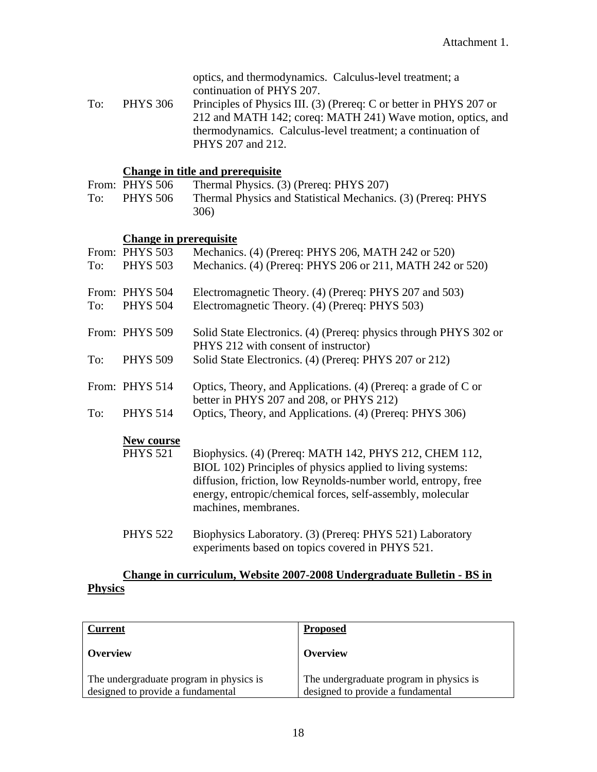| optics, and thermodynamics. Calculus-level treatment; a |  |
|---------------------------------------------------------|--|
| continuation of PHYS 207.                               |  |

To: PHYS 306 Principles of Physics III. (3) (Prereq: C or better in PHYS 207 or 212 and MATH 142; coreq: MATH 241) Wave motion, optics, and thermodynamics. Calculus-level treatment; a continuation of PHYS 207 and 212.

#### **Change in title and prerequisite**

|     | From: PHYS 506  | Thermal Physics. (3) (Prereq: PHYS 207)                      |
|-----|-----------------|--------------------------------------------------------------|
| To: | <b>PHYS 506</b> | Thermal Physics and Statistical Mechanics. (3) (Prereq: PHYS |
|     |                 | 306)                                                         |

# **Change in prerequisite**

|     | From: PHYS 503  | Mechanics. (4) (Prereq: PHYS 206, MATH 242 or 520)                                                                                                                                                                                                                          |
|-----|-----------------|-----------------------------------------------------------------------------------------------------------------------------------------------------------------------------------------------------------------------------------------------------------------------------|
| To: | <b>PHYS 503</b> | Mechanics. (4) (Prereq: PHYS 206 or 211, MATH 242 or 520)                                                                                                                                                                                                                   |
|     | From: PHYS 504  | Electromagnetic Theory. (4) (Prereq: PHYS 207 and 503)                                                                                                                                                                                                                      |
| To: | <b>PHYS 504</b> | Electromagnetic Theory. (4) (Prereq: PHYS 503)                                                                                                                                                                                                                              |
|     | From: PHYS 509  | Solid State Electronics. (4) (Prereq: physics through PHYS 302 or<br>PHYS 212 with consent of instructor)                                                                                                                                                                   |
| To: | <b>PHYS 509</b> | Solid State Electronics. (4) (Prereq: PHYS 207 or 212)                                                                                                                                                                                                                      |
|     | From: PHYS 514  | Optics, Theory, and Applications. (4) (Prereq: a grade of C or<br>better in PHYS 207 and 208, or PHYS 212)                                                                                                                                                                  |
| To: | <b>PHYS 514</b> | Optics, Theory, and Applications. (4) (Prereq: PHYS 306)                                                                                                                                                                                                                    |
|     | New course      |                                                                                                                                                                                                                                                                             |
|     | <b>PHYS 521</b> | Biophysics. (4) (Prereq: MATH 142, PHYS 212, CHEM 112,<br>BIOL 102) Principles of physics applied to living systems:<br>diffusion, friction, low Reynolds-number world, entropy, free<br>energy, entropic/chemical forces, self-assembly, molecular<br>machines, membranes. |
|     | <b>PHYS 522</b> | Biophysics Laboratory. (3) (Prereq: PHYS 521) Laboratory<br>experiments based on topics covered in PHYS 521.                                                                                                                                                                |

# **Change in curriculum, Website 2007-2008 Undergraduate Bulletin - BS in Physics**

| <b>Current</b>                                                               | <b>Proposed</b>                                                              |
|------------------------------------------------------------------------------|------------------------------------------------------------------------------|
| Overview                                                                     | Overview                                                                     |
| The undergraduate program in physics is<br>designed to provide a fundamental | The undergraduate program in physics is<br>designed to provide a fundamental |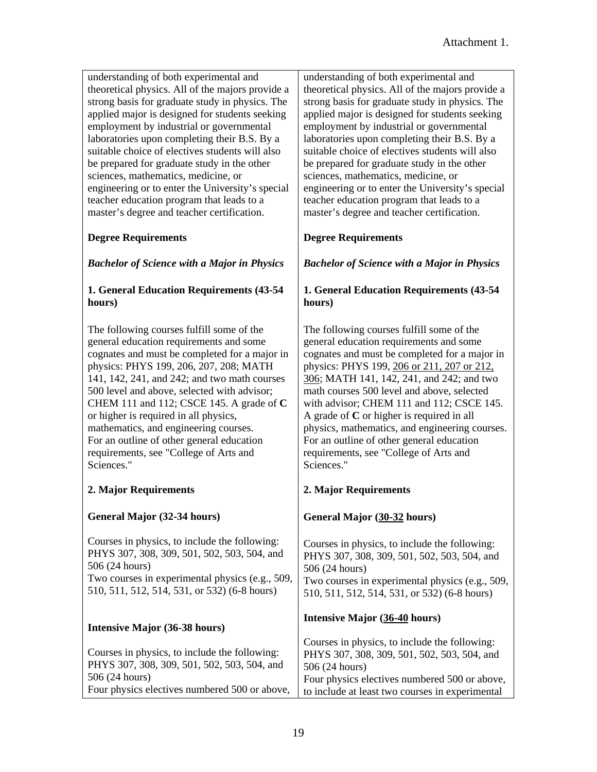| understanding of both experimental and<br>theoretical physics. All of the majors provide a<br>strong basis for graduate study in physics. The<br>applied major is designed for students seeking<br>employment by industrial or governmental<br>laboratories upon completing their B.S. By a<br>suitable choice of electives students will also<br>be prepared for graduate study in the other<br>sciences, mathematics, medicine, or<br>engineering or to enter the University's special<br>teacher education program that leads to a<br>master's degree and teacher certification. | understanding of both experimental and<br>theoretical physics. All of the majors provide a<br>strong basis for graduate study in physics. The<br>applied major is designed for students seeking<br>employment by industrial or governmental<br>laboratories upon completing their B.S. By a<br>suitable choice of electives students will also<br>be prepared for graduate study in the other<br>sciences, mathematics, medicine, or<br>engineering or to enter the University's special<br>teacher education program that leads to a<br>master's degree and teacher certification. |
|-------------------------------------------------------------------------------------------------------------------------------------------------------------------------------------------------------------------------------------------------------------------------------------------------------------------------------------------------------------------------------------------------------------------------------------------------------------------------------------------------------------------------------------------------------------------------------------|-------------------------------------------------------------------------------------------------------------------------------------------------------------------------------------------------------------------------------------------------------------------------------------------------------------------------------------------------------------------------------------------------------------------------------------------------------------------------------------------------------------------------------------------------------------------------------------|
| <b>Degree Requirements</b>                                                                                                                                                                                                                                                                                                                                                                                                                                                                                                                                                          | <b>Degree Requirements</b>                                                                                                                                                                                                                                                                                                                                                                                                                                                                                                                                                          |
| <b>Bachelor of Science with a Major in Physics</b>                                                                                                                                                                                                                                                                                                                                                                                                                                                                                                                                  | <b>Bachelor of Science with a Major in Physics</b>                                                                                                                                                                                                                                                                                                                                                                                                                                                                                                                                  |
| 1. General Education Requirements (43-54<br>hours)                                                                                                                                                                                                                                                                                                                                                                                                                                                                                                                                  | 1. General Education Requirements (43-54<br>hours)                                                                                                                                                                                                                                                                                                                                                                                                                                                                                                                                  |
| The following courses fulfill some of the<br>general education requirements and some<br>cognates and must be completed for a major in<br>physics: PHYS 199, 206, 207, 208; MATH<br>141, 142, 241, and 242; and two math courses<br>500 level and above, selected with advisor;<br>CHEM 111 and 112; CSCE 145. A grade of C<br>or higher is required in all physics,<br>mathematics, and engineering courses.<br>For an outline of other general education<br>requirements, see "College of Arts and<br>Sciences."                                                                   | The following courses fulfill some of the<br>general education requirements and some<br>cognates and must be completed for a major in<br>physics: PHYS 199, 206 or 211, 207 or 212,<br>306; MATH 141, 142, 241, and 242; and two<br>math courses 500 level and above, selected<br>with advisor; CHEM 111 and 112; CSCE 145.<br>A grade of $C$ or higher is required in all<br>physics, mathematics, and engineering courses.<br>For an outline of other general education<br>requirements, see "College of Arts and<br>Sciences."                                                   |
| 2. Major Requirements                                                                                                                                                                                                                                                                                                                                                                                                                                                                                                                                                               | 2. Major Requirements                                                                                                                                                                                                                                                                                                                                                                                                                                                                                                                                                               |
| General Major (32-34 hours)                                                                                                                                                                                                                                                                                                                                                                                                                                                                                                                                                         | General Major (30-32 hours)                                                                                                                                                                                                                                                                                                                                                                                                                                                                                                                                                         |
| Courses in physics, to include the following:<br>PHYS 307, 308, 309, 501, 502, 503, 504, and<br>506 (24 hours)<br>Two courses in experimental physics (e.g., 509,<br>510, 511, 512, 514, 531, or 532) (6-8 hours)                                                                                                                                                                                                                                                                                                                                                                   | Courses in physics, to include the following:<br>PHYS 307, 308, 309, 501, 502, 503, 504, and<br>506 (24 hours)<br>Two courses in experimental physics (e.g., 509,<br>510, 511, 512, 514, 531, or 532) (6-8 hours)                                                                                                                                                                                                                                                                                                                                                                   |
| <b>Intensive Major (36-38 hours)</b>                                                                                                                                                                                                                                                                                                                                                                                                                                                                                                                                                | Intensive Major (36-40 hours)                                                                                                                                                                                                                                                                                                                                                                                                                                                                                                                                                       |
| Courses in physics, to include the following:<br>PHYS 307, 308, 309, 501, 502, 503, 504, and<br>506 (24 hours)<br>Four physics electives numbered 500 or above,                                                                                                                                                                                                                                                                                                                                                                                                                     | Courses in physics, to include the following:<br>PHYS 307, 308, 309, 501, 502, 503, 504, and<br>506 (24 hours)<br>Four physics electives numbered 500 or above,<br>to include at least two courses in experimental                                                                                                                                                                                                                                                                                                                                                                  |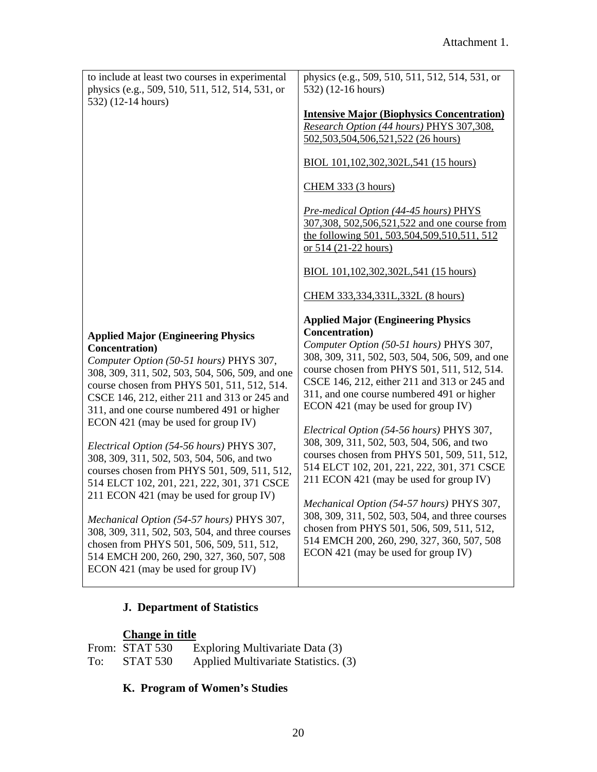| to include at least two courses in experimental | physics (e.g., 509, 510, 511, 512, 514, 531, or                                                                                                                                                                                                                                                                                                                                                                         |
|-------------------------------------------------|-------------------------------------------------------------------------------------------------------------------------------------------------------------------------------------------------------------------------------------------------------------------------------------------------------------------------------------------------------------------------------------------------------------------------|
| physics (e.g., 509, 510, 511, 512, 514, 531, or | 532) (12-16 hours)                                                                                                                                                                                                                                                                                                                                                                                                      |
| 532) (12-14 hours)                              | <b>Intensive Major (Biophysics Concentration)</b><br>Research Option (44 hours) PHYS 307,308,<br>502,503,504,506,521,522 (26 hours)<br>BIOL 101, 102, 302, 302L, 541 (15 hours)<br>CHEM 333 (3 hours)<br>Pre-medical Option (44-45 hours) PHYS<br>307,308, 502,506,521,522 and one course from<br>the following 501, 503, 504, 509, 510, 511, 512<br>or $514$ (21-22 hours)<br>BIOL 101, 102, 302, 302L, 541 (15 hours) |
|                                                 | CHEM 333,334,331L,332L (8 hours)                                                                                                                                                                                                                                                                                                                                                                                        |
| <b>Applied Major (Engineering Physics</b>       | <b>Applied Major (Engineering Physics</b>                                                                                                                                                                                                                                                                                                                                                                               |
| Concentration)                                  | Concentration)                                                                                                                                                                                                                                                                                                                                                                                                          |
| Computer Option (50-51 hours) PHYS 307,         | Computer Option (50-51 hours) PHYS 307,                                                                                                                                                                                                                                                                                                                                                                                 |
| 308, 309, 311, 502, 503, 504, 506, 509, and one | 308, 309, 311, 502, 503, 504, 506, 509, and one                                                                                                                                                                                                                                                                                                                                                                         |
| course chosen from PHYS 501, 511, 512, 514.     | course chosen from PHYS 501, 511, 512, 514.                                                                                                                                                                                                                                                                                                                                                                             |
| CSCE 146, 212, either 211 and 313 or 245 and    | CSCE 146, 212, either 211 and 313 or 245 and                                                                                                                                                                                                                                                                                                                                                                            |
| 311, and one course numbered 491 or higher      | 311, and one course numbered 491 or higher                                                                                                                                                                                                                                                                                                                                                                              |
| ECON 421 (may be used for group IV)             | ECON 421 (may be used for group IV)                                                                                                                                                                                                                                                                                                                                                                                     |
| Electrical Option (54-56 hours) PHYS 307,       | Electrical Option (54-56 hours) PHYS 307,                                                                                                                                                                                                                                                                                                                                                                               |
| 308, 309, 311, 502, 503, 504, 506, and two      | 308, 309, 311, 502, 503, 504, 506, and two                                                                                                                                                                                                                                                                                                                                                                              |
| courses chosen from PHYS 501, 509, 511, 512,    | courses chosen from PHYS 501, 509, 511, 512,                                                                                                                                                                                                                                                                                                                                                                            |
| 514 ELCT 102, 201, 221, 222, 301, 371 CSCE      | 514 ELCT 102, 201, 221, 222, 301, 371 CSCE                                                                                                                                                                                                                                                                                                                                                                              |
| 211 ECON 421 (may be used for group IV)         | 211 ECON 421 (may be used for group IV)                                                                                                                                                                                                                                                                                                                                                                                 |
| Mechanical Option (54-57 hours) PHYS 307,       | Mechanical Option (54-57 hours) PHYS 307,                                                                                                                                                                                                                                                                                                                                                                               |
| 308, 309, 311, 502, 503, 504, and three courses | 308, 309, 311, 502, 503, 504, and three courses                                                                                                                                                                                                                                                                                                                                                                         |
| chosen from PHYS 501, 506, 509, 511, 512,       | chosen from PHYS 501, 506, 509, 511, 512,                                                                                                                                                                                                                                                                                                                                                                               |
| 514 EMCH 200, 260, 290, 327, 360, 507, 508      | 514 EMCH 200, 260, 290, 327, 360, 507, 508                                                                                                                                                                                                                                                                                                                                                                              |
| ECON 421 (may be used for group IV)             | ECON 421 (may be used for group IV)                                                                                                                                                                                                                                                                                                                                                                                     |

# **J. Department of Statistics**

# **Change in title**

|     | From: STAT 530  | Exploring Multivariate Data (3)      |
|-----|-----------------|--------------------------------------|
| To: | <b>STAT 530</b> | Applied Multivariate Statistics. (3) |

# **K. Program of Women's Studies**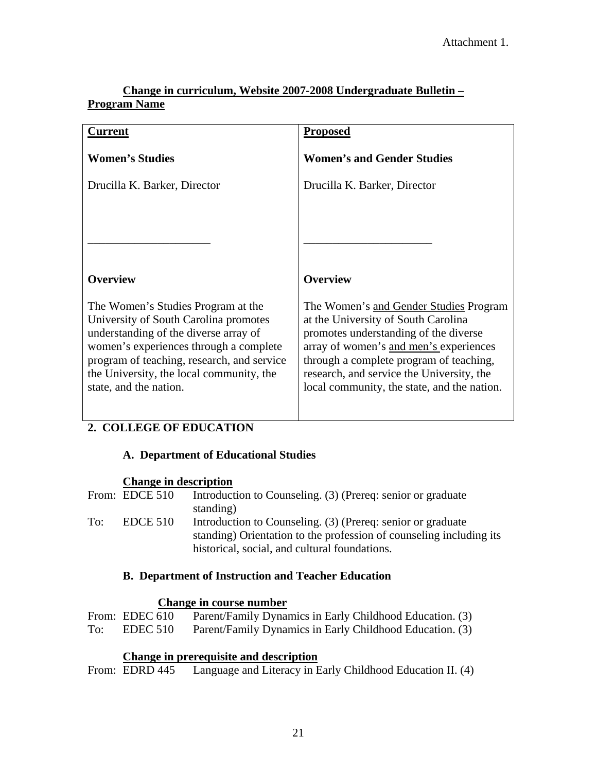# **Change in curriculum, Website 2007-2008 Undergraduate Bulletin – Program Name**

| Current                                                                                                                                                                                                                                                                            | <b>Proposed</b>                                                                                                                                                                                                                                                                                         |
|------------------------------------------------------------------------------------------------------------------------------------------------------------------------------------------------------------------------------------------------------------------------------------|---------------------------------------------------------------------------------------------------------------------------------------------------------------------------------------------------------------------------------------------------------------------------------------------------------|
| <b>Women's Studies</b>                                                                                                                                                                                                                                                             | <b>Women's and Gender Studies</b>                                                                                                                                                                                                                                                                       |
| Drucilla K. Barker, Director                                                                                                                                                                                                                                                       | Drucilla K. Barker, Director                                                                                                                                                                                                                                                                            |
|                                                                                                                                                                                                                                                                                    |                                                                                                                                                                                                                                                                                                         |
|                                                                                                                                                                                                                                                                                    |                                                                                                                                                                                                                                                                                                         |
|                                                                                                                                                                                                                                                                                    |                                                                                                                                                                                                                                                                                                         |
| <b>Overview</b>                                                                                                                                                                                                                                                                    | <b>Overview</b>                                                                                                                                                                                                                                                                                         |
| The Women's Studies Program at the<br>University of South Carolina promotes<br>understanding of the diverse array of<br>women's experiences through a complete<br>program of teaching, research, and service<br>the University, the local community, the<br>state, and the nation. | The Women's and Gender Studies Program<br>at the University of South Carolina<br>promotes understanding of the diverse<br>array of women's and men's experiences<br>through a complete program of teaching,<br>research, and service the University, the<br>local community, the state, and the nation. |

# **2. COLLEGE OF EDUCATION**

# **A. Department of Educational Studies**

# **Change in description**

|     | From: EDCE 510 | Introduction to Counseling. (3) (Prereq: senior or graduate         |
|-----|----------------|---------------------------------------------------------------------|
|     |                | standing)                                                           |
| To: | EDCE 510       | Introduction to Counseling. (3) (Prereq: senior or graduate         |
|     |                | standing) Orientation to the profession of counseling including its |
|     |                | historical, social, and cultural foundations.                       |
|     |                |                                                                     |

# **B. Department of Instruction and Teacher Education**

## **Change in course number**

|     | From: EDEC 610 | Parent/Family Dynamics in Early Childhood Education. (3) |  |
|-----|----------------|----------------------------------------------------------|--|
| To: | EDEC 510       | Parent/Family Dynamics in Early Childhood Education. (3) |  |

# **Change in prerequisite and description**

From: EDRD 445 Language and Literacy in Early Childhood Education II. (4)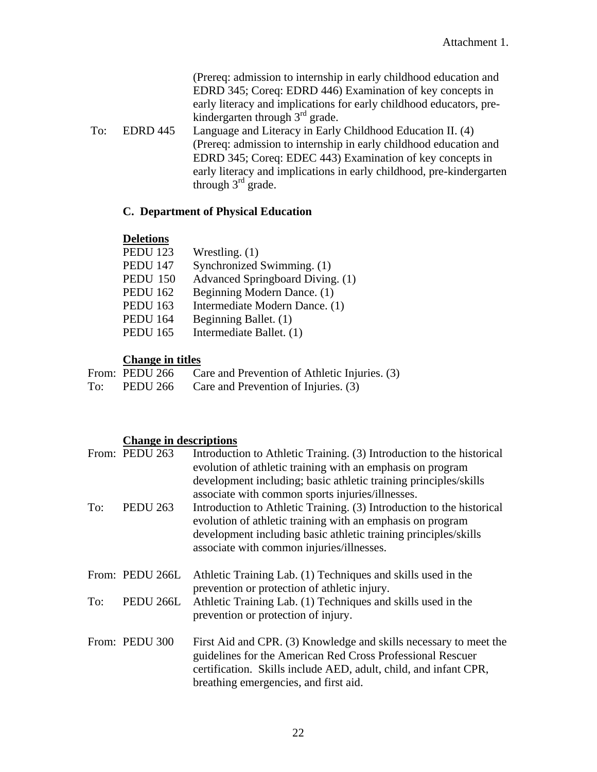(Prereq: admission to internship in early childhood education and EDRD 345; Coreq: EDRD 446) Examination of key concepts in early literacy and implications for early childhood educators, prekindergarten through  $3<sup>rd</sup>$  grade.

 To: EDRD 445 Language and Literacy in Early Childhood Education II. (4) (Prereq: admission to internship in early childhood education and EDRD 345; Coreq: EDEC 443) Examination of key concepts in early literacy and implications in early childhood, pre-kindergarten through  $3<sup>rd</sup>$  grade.

#### **C. Department of Physical Education**

#### **Deletions**

| <b>PEDU 123</b> | Wrestling. $(1)$                 |
|-----------------|----------------------------------|
| <b>PEDU 147</b> | Synchronized Swimming. (1)       |
| <b>PEDU 150</b> | Advanced Springboard Diving. (1) |
| <b>PEDU 162</b> | Beginning Modern Dance. (1)      |
| <b>PEDU 163</b> | Intermediate Modern Dance. (1)   |
| <b>PEDU 164</b> | Beginning Ballet. (1)            |
| <b>PEDU 165</b> | Intermediate Ballet. (1)         |
|                 |                                  |

#### **Change in titles**

|     | From: PEDU 266 | Care and Prevention of Athletic Injuries. (3) |
|-----|----------------|-----------------------------------------------|
| To: | PEDU 266       | Care and Prevention of Injuries. (3)          |

#### **Change in descriptions**

|     | From: PEDU 263  | Introduction to Athletic Training. (3) Introduction to the historical<br>evolution of athletic training with an emphasis on program<br>development including; basic athletic training principles/skills<br>associate with common sports injuries/illnesses. |
|-----|-----------------|-------------------------------------------------------------------------------------------------------------------------------------------------------------------------------------------------------------------------------------------------------------|
| To: | <b>PEDU 263</b> | Introduction to Athletic Training. (3) Introduction to the historical<br>evolution of athletic training with an emphasis on program<br>development including basic athletic training principles/skills<br>associate with common injuries/illnesses.         |
|     | From: PEDU 266L | Athletic Training Lab. (1) Techniques and skills used in the<br>prevention or protection of athletic injury.                                                                                                                                                |
| To: | PEDU 266L       | Athletic Training Lab. (1) Techniques and skills used in the<br>prevention or protection of injury.                                                                                                                                                         |
|     | From: PEDU 300  | First Aid and CPR. (3) Knowledge and skills necessary to meet the<br>guidelines for the American Red Cross Professional Rescuer<br>certification. Skills include AED, adult, child, and infant CPR,<br>breathing emergencies, and first aid.                |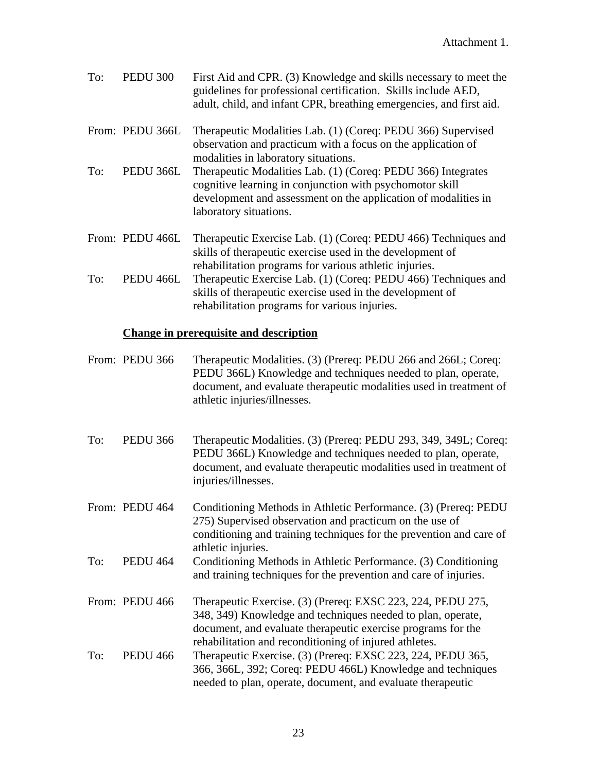| To: | <b>PEDU 300</b> | First Aid and CPR. (3) Knowledge and skills necessary to meet the<br>guidelines for professional certification. Skills include AED,<br>adult, child, and infant CPR, breathing emergencies, and first aid.           |
|-----|-----------------|----------------------------------------------------------------------------------------------------------------------------------------------------------------------------------------------------------------------|
|     | From: PEDU 366L | Therapeutic Modalities Lab. (1) (Coreq: PEDU 366) Supervised<br>observation and practicum with a focus on the application of<br>modalities in laboratory situations.                                                 |
| To: | PEDU 366L       | Therapeutic Modalities Lab. (1) (Coreq: PEDU 366) Integrates<br>cognitive learning in conjunction with psychomotor skill<br>development and assessment on the application of modalities in<br>laboratory situations. |
|     | From: PEDU 466L | Therapeutic Exercise Lab. (1) (Coreq: PEDU 466) Techniques and<br>skills of therapeutic exercise used in the development of<br>rehabilitation programs for various athletic injuries.                                |
| To: | PEDU 466L       | Therapeutic Exercise Lab. (1) (Coreq: PEDU 466) Techniques and<br>skills of therapeutic exercise used in the development of                                                                                          |

rehabilitation programs for various injuries.

# **Change in prerequisite and description**

|     | From: PEDU 366  | Therapeutic Modalities. (3) (Prereq: PEDU 266 and 266L; Coreq:<br>PEDU 366L) Knowledge and techniques needed to plan, operate,<br>document, and evaluate therapeutic modalities used in treatment of<br>athletic injuries/illnesses.                 |
|-----|-----------------|------------------------------------------------------------------------------------------------------------------------------------------------------------------------------------------------------------------------------------------------------|
| To: | <b>PEDU 366</b> | Therapeutic Modalities. (3) (Prereq: PEDU 293, 349, 349L; Coreq:<br>PEDU 366L) Knowledge and techniques needed to plan, operate,<br>document, and evaluate therapeutic modalities used in treatment of<br>injuries/illnesses.                        |
|     | From: PEDU 464  | Conditioning Methods in Athletic Performance. (3) (Prereq: PEDU<br>275) Supervised observation and practicum on the use of<br>conditioning and training techniques for the prevention and care of<br>athletic injuries.                              |
| To: | <b>PEDU 464</b> | Conditioning Methods in Athletic Performance. (3) Conditioning<br>and training techniques for the prevention and care of injuries.                                                                                                                   |
|     | From: PEDU 466  | Therapeutic Exercise. (3) (Prereq: EXSC 223, 224, PEDU 275,<br>348, 349) Knowledge and techniques needed to plan, operate,<br>document, and evaluate therapeutic exercise programs for the<br>rehabilitation and reconditioning of injured athletes. |
| To: | <b>PEDU 466</b> | Therapeutic Exercise. (3) (Prereq: EXSC 223, 224, PEDU 365,<br>366, 366L, 392; Coreq: PEDU 466L) Knowledge and techniques<br>needed to plan, operate, document, and evaluate therapeutic                                                             |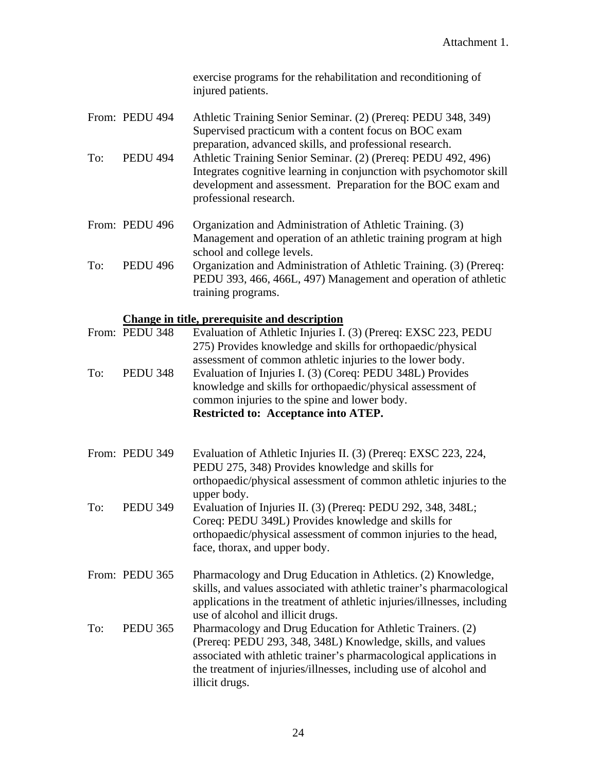exercise programs for the rehabilitation and reconditioning of injured patients.

| From: PEDU 494 | Athletic Training Senior Seminar. (2) (Prereq: PEDU 348, 349)                                                                               |
|----------------|---------------------------------------------------------------------------------------------------------------------------------------------|
|                | Supervised practicum with a content focus on BOC exam                                                                                       |
|                | preparation, advanced skills, and professional research.                                                                                    |
| –              | $P = 100$<br>$\mathbf{1}$ , and $\mathbf{1}$ , and $\mathbf{1}$ , and $\mathbf{1}$ , and $\mathbf{1}$ , and $\mathbf{1}$ , and $\mathbf{1}$ |

- To: PEDU 494 Athletic Training Senior Seminar. (2) (Prereq: PEDU 492, 496) Integrates cognitive learning in conjunction with psychomotor skill development and assessment. Preparation for the BOC exam and professional research.
- From: PEDU 496 Organization and Administration of Athletic Training. (3) Management and operation of an athletic training program at high school and college levels.
- To: PEDU 496 Organization and Administration of Athletic Training. (3) (Prereq: PEDU 393, 466, 466L, 497) Management and operation of athletic training programs.

# **Change in title, prerequisite and description**

|     | From: PEDU 348  | Evaluation of Athletic Injuries I. (3) (Prereq: EXSC 223, PEDU                                                                                   |
|-----|-----------------|--------------------------------------------------------------------------------------------------------------------------------------------------|
|     |                 | 275) Provides knowledge and skills for orthopaedic/physical<br>assessment of common athletic injuries to the lower body.                         |
| To: | <b>PEDU 348</b> | Evaluation of Injuries I. (3) (Coreq: PEDU 348L) Provides                                                                                        |
|     |                 | knowledge and skills for orthopaedic/physical assessment of                                                                                      |
|     |                 | common injuries to the spine and lower body.                                                                                                     |
|     |                 | Restricted to: Acceptance into ATEP.                                                                                                             |
|     | From: PEDU 349  | Evaluation of Athletic Injuries II. (3) (Prereq: EXSC 223, 224,                                                                                  |
|     |                 | PEDU 275, 348) Provides knowledge and skills for                                                                                                 |
|     |                 | orthopaedic/physical assessment of common athletic injuries to the<br>upper body.                                                                |
| To: | <b>PEDU 349</b> | Evaluation of Injuries II. (3) (Prereq: PEDU 292, 348, 348L;                                                                                     |
|     |                 | Coreq: PEDU 349L) Provides knowledge and skills for                                                                                              |
|     |                 | orthopaedic/physical assessment of common injuries to the head,<br>face, thorax, and upper body.                                                 |
|     | From: PEDU 365  | Pharmacology and Drug Education in Athletics. (2) Knowledge,                                                                                     |
|     |                 | skills, and values associated with athletic trainer's pharmacological<br>applications in the treatment of athletic injuries/illnesses, including |
|     |                 | use of alcohol and illicit drugs.                                                                                                                |
| To: | <b>PEDU 365</b> | Pharmacology and Drug Education for Athletic Trainers. (2)                                                                                       |
|     |                 | (Prereq: PEDU 293, 348, 348L) Knowledge, skills, and values                                                                                      |
|     |                 | associated with athletic trainer's pharmacological applications in<br>the treatment of injuries/illnesses, including use of alcohol and          |
|     |                 | illicit drugs.                                                                                                                                   |
|     |                 |                                                                                                                                                  |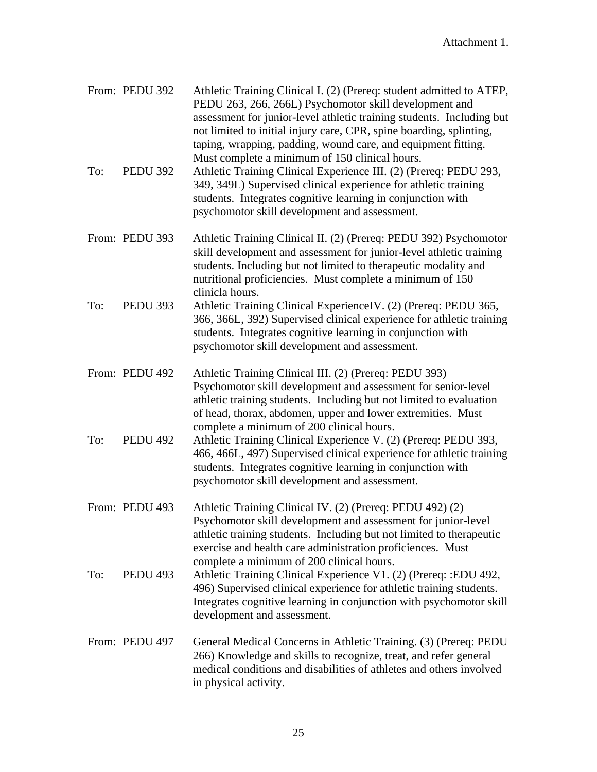|     | From: PEDU 392  | Athletic Training Clinical I. (2) (Prereq: student admitted to ATEP,<br>PEDU 263, 266, 266L) Psychomotor skill development and<br>assessment for junior-level athletic training students. Including but<br>not limited to initial injury care, CPR, spine boarding, splinting,<br>taping, wrapping, padding, wound care, and equipment fitting.<br>Must complete a minimum of 150 clinical hours. |
|-----|-----------------|---------------------------------------------------------------------------------------------------------------------------------------------------------------------------------------------------------------------------------------------------------------------------------------------------------------------------------------------------------------------------------------------------|
| To: | <b>PEDU 392</b> | Athletic Training Clinical Experience III. (2) (Prereq: PEDU 293,<br>349, 349L) Supervised clinical experience for athletic training<br>students. Integrates cognitive learning in conjunction with<br>psychomotor skill development and assessment.                                                                                                                                              |
|     | From: PEDU 393  | Athletic Training Clinical II. (2) (Prereq: PEDU 392) Psychomotor<br>skill development and assessment for junior-level athletic training<br>students. Including but not limited to therapeutic modality and<br>nutritional proficiencies. Must complete a minimum of 150<br>clinicla hours.                                                                                                       |
| To: | <b>PEDU 393</b> | Athletic Training Clinical ExperienceIV. (2) (Prereq: PEDU 365,<br>366, 366L, 392) Supervised clinical experience for athletic training<br>students. Integrates cognitive learning in conjunction with<br>psychomotor skill development and assessment.                                                                                                                                           |
|     | From: PEDU 492  | Athletic Training Clinical III. (2) (Prereq: PEDU 393)<br>Psychomotor skill development and assessment for senior-level<br>athletic training students. Including but not limited to evaluation<br>of head, thorax, abdomen, upper and lower extremities. Must<br>complete a minimum of 200 clinical hours.                                                                                        |
| To: | <b>PEDU 492</b> | Athletic Training Clinical Experience V. (2) (Prereq: PEDU 393,<br>466, 466L, 497) Supervised clinical experience for athletic training<br>students. Integrates cognitive learning in conjunction with<br>psychomotor skill development and assessment.                                                                                                                                           |
|     | From: PEDU 493  | Athletic Training Clinical IV. (2) (Prereq: PEDU 492) (2)<br>Psychomotor skill development and assessment for junior-level<br>athletic training students. Including but not limited to therapeutic<br>exercise and health care administration proficiences. Must<br>complete a minimum of 200 clinical hours.                                                                                     |
| To: | <b>PEDU 493</b> | Athletic Training Clinical Experience V1. (2) (Prereq: :EDU 492,<br>496) Supervised clinical experience for athletic training students.<br>Integrates cognitive learning in conjunction with psychomotor skill<br>development and assessment.                                                                                                                                                     |
|     | From: PEDU 497  | General Medical Concerns in Athletic Training. (3) (Prereq: PEDU<br>266) Knowledge and skills to recognize, treat, and refer general<br>medical conditions and disabilities of athletes and others involved<br>in physical activity.                                                                                                                                                              |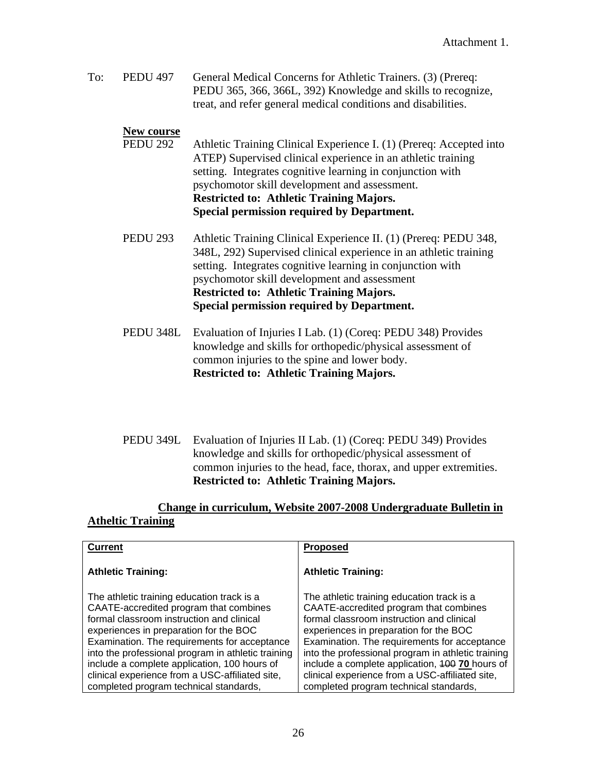To: PEDU 497 General Medical Concerns for Athletic Trainers. (3) (Prereq: PEDU 365, 366, 366L, 392) Knowledge and skills to recognize, treat, and refer general medical conditions and disabilities.

#### **New course**

- PEDU 292 Athletic Training Clinical Experience I. (1) (Prereq: Accepted into ATEP) Supervised clinical experience in an athletic training setting. Integrates cognitive learning in conjunction with psychomotor skill development and assessment. **Restricted to: Athletic Training Majors. Special permission required by Department.**
- PEDU 293 Athletic Training Clinical Experience II. (1) (Prereq: PEDU 348, 348L, 292) Supervised clinical experience in an athletic training setting. Integrates cognitive learning in conjunction with psychomotor skill development and assessment **Restricted to: Athletic Training Majors. Special permission required by Department.**
- PEDU 348L Evaluation of Injuries I Lab. (1) (Coreq: PEDU 348) Provides knowledge and skills for orthopedic/physical assessment of common injuries to the spine and lower body. **Restricted to: Athletic Training Majors.**
- PEDU 349L Evaluation of Injuries II Lab. (1) (Coreq: PEDU 349) Provides knowledge and skills for orthopedic/physical assessment of common injuries to the head, face, thorax, and upper extremities. **Restricted to: Athletic Training Majors.**

# **Change in curriculum, Website 2007-2008 Undergraduate Bulletin in Atheltic Training**

| <b>Current</b>                                                                                                                                                                                                                                                                                                                                                                                                                 | <b>Proposed</b>                                                                                                                                                                                                                                                                                                                                                                                                                   |
|--------------------------------------------------------------------------------------------------------------------------------------------------------------------------------------------------------------------------------------------------------------------------------------------------------------------------------------------------------------------------------------------------------------------------------|-----------------------------------------------------------------------------------------------------------------------------------------------------------------------------------------------------------------------------------------------------------------------------------------------------------------------------------------------------------------------------------------------------------------------------------|
| <b>Athletic Training:</b>                                                                                                                                                                                                                                                                                                                                                                                                      | <b>Athletic Training:</b>                                                                                                                                                                                                                                                                                                                                                                                                         |
| The athletic training education track is a<br>CAATE-accredited program that combines<br>formal classroom instruction and clinical<br>experiences in preparation for the BOC<br>Examination. The requirements for acceptance<br>into the professional program in athletic training<br>include a complete application, 100 hours of<br>clinical experience from a USC-affiliated site,<br>completed program technical standards, | The athletic training education track is a<br>CAATE-accredited program that combines<br>formal classroom instruction and clinical<br>experiences in preparation for the BOC<br>Examination. The requirements for acceptance<br>into the professional program in athletic training<br>include a complete application, 400 70 hours of<br>clinical experience from a USC-affiliated site,<br>completed program technical standards, |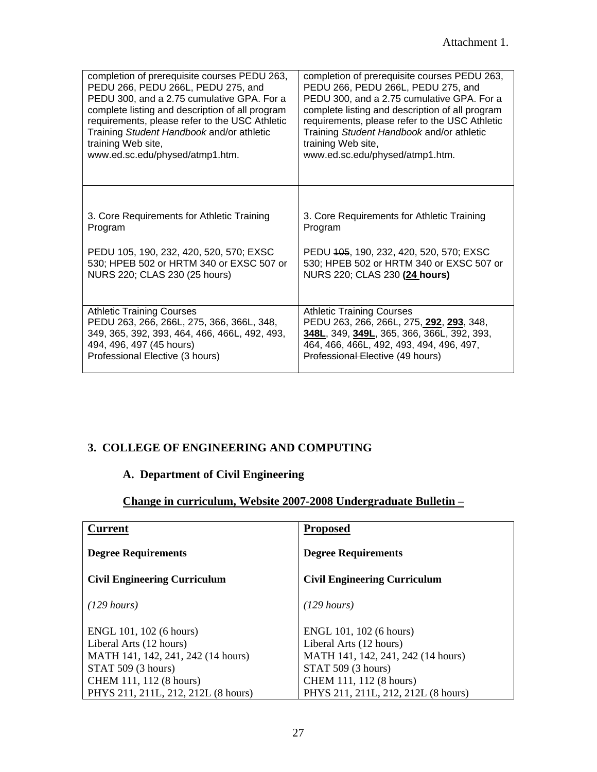| completion of prerequisite courses PEDU 263,    | completion of prerequisite courses PEDU 263,    |
|-------------------------------------------------|-------------------------------------------------|
| PEDU 266, PEDU 266L, PEDU 275, and              | PEDU 266, PEDU 266L, PEDU 275, and              |
| PEDU 300, and a 2.75 cumulative GPA. For a      | PEDU 300, and a 2.75 cumulative GPA. For a      |
| complete listing and description of all program | complete listing and description of all program |
| requirements, please refer to the USC Athletic  | requirements, please refer to the USC Athletic  |
| Training Student Handbook and/or athletic       | Training Student Handbook and/or athletic       |
| training Web site,                              | training Web site,                              |
| www.ed.sc.edu/physed/atmp1.htm.                 | www.ed.sc.edu/physed/atmp1.htm.                 |
| 3. Core Requirements for Athletic Training      | 3. Core Requirements for Athletic Training      |
| Program                                         | Program                                         |
| PEDU 105, 190, 232, 420, 520, 570; EXSC         | PEDU 405, 190, 232, 420, 520, 570; EXSC         |
| 530; HPEB 502 or HRTM 340 or EXSC 507 or        | 530; HPEB 502 or HRTM 340 or EXSC 507 or        |
| NURS 220; CLAS 230 (25 hours)                   | NURS 220; CLAS 230 (24 hours)                   |
| <b>Athletic Training Courses</b>                | <b>Athletic Training Courses</b>                |
| PEDU 263, 266, 266L, 275, 366, 366L, 348,       | PEDU 263, 266, 266L, 275, 292, 293, 348,        |
| 349, 365, 392, 393, 464, 466, 466L, 492, 493,   | 348L, 349, 349L, 365, 366, 366L, 392, 393,      |
| 494, 496, 497 (45 hours)                        | 464, 466, 466L, 492, 493, 494, 496, 497,        |
| Professional Elective (3 hours)                 | Professional Elective (49 hours)                |

# **3. COLLEGE OF ENGINEERING AND COMPUTING**

# **A. Department of Civil Engineering**

# **Change in curriculum, Website 2007-2008 Undergraduate Bulletin –**

| <b>Current</b>                      | <b>Proposed</b>                     |
|-------------------------------------|-------------------------------------|
| <b>Degree Requirements</b>          | <b>Degree Requirements</b>          |
| <b>Civil Engineering Curriculum</b> | <b>Civil Engineering Curriculum</b> |
| $(129 \text{ hours})$               | $(129 \text{ hours})$               |
| ENGL 101, 102 (6 hours)             | ENGL 101, 102 (6 hours)             |
| Liberal Arts (12 hours)             | Liberal Arts (12 hours)             |
| MATH 141, 142, 241, 242 (14 hours)  | MATH 141, 142, 241, 242 (14 hours)  |
| STAT 509 (3 hours)                  | STAT 509 (3 hours)                  |
| CHEM 111, 112 (8 hours)             | CHEM 111, 112 (8 hours)             |
| PHYS 211, 211L, 212, 212L (8 hours) | PHYS 211, 211L, 212, 212L (8 hours) |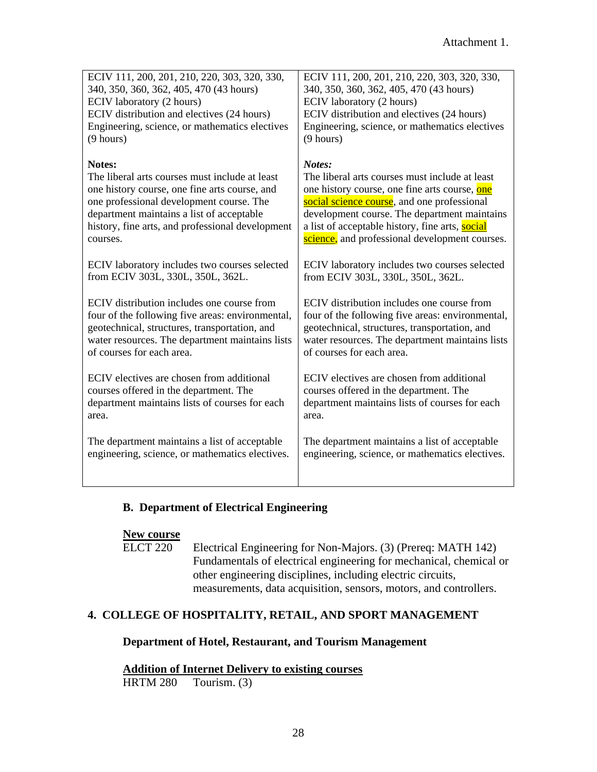| ECIV 111, 200, 201, 210, 220, 303, 320, 330,     | ECIV 111, 200, 201, 210, 220, 303, 320, 330,     |
|--------------------------------------------------|--------------------------------------------------|
| 340, 350, 360, 362, 405, 470 (43 hours)          | 340, 350, 360, 362, 405, 470 (43 hours)          |
| ECIV laboratory (2 hours)                        | ECIV laboratory (2 hours)                        |
| ECIV distribution and electives (24 hours)       | ECIV distribution and electives (24 hours)       |
| Engineering, science, or mathematics electives   | Engineering, science, or mathematics electives   |
| (9 hours)                                        | (9 hours)                                        |
| Notes:                                           | Notes:                                           |
| The liberal arts courses must include at least   | The liberal arts courses must include at least   |
| one history course, one fine arts course, and    | one history course, one fine arts course, one    |
| one professional development course. The         | social science course, and one professional      |
| department maintains a list of acceptable        | development course. The department maintains     |
| history, fine arts, and professional development | a list of acceptable history, fine arts, social  |
| courses.                                         | science, and professional development courses.   |
| ECIV laboratory includes two courses selected    | ECIV laboratory includes two courses selected    |
| from ECIV 303L, 330L, 350L, 362L.                | from ECIV 303L, 330L, 350L, 362L.                |
| ECIV distribution includes one course from       | ECIV distribution includes one course from       |
| four of the following five areas: environmental, | four of the following five areas: environmental, |
| geotechnical, structures, transportation, and    | geotechnical, structures, transportation, and    |
| water resources. The department maintains lists  | water resources. The department maintains lists  |
| of courses for each area.                        | of courses for each area.                        |
| ECIV electives are chosen from additional        | ECIV electives are chosen from additional        |
| courses offered in the department. The           | courses offered in the department. The           |
| department maintains lists of courses for each   | department maintains lists of courses for each   |
| area.                                            | area.                                            |
| The department maintains a list of acceptable    | The department maintains a list of acceptable    |
| engineering, science, or mathematics electives.  | engineering, science, or mathematics electives.  |
|                                                  |                                                  |

# **B. Department of Electrical Engineering**

#### **New course**

 ELCT 220 Electrical Engineering for Non-Majors. (3) (Prereq: MATH 142) Fundamentals of electrical engineering for mechanical, chemical or other engineering disciplines, including electric circuits, measurements, data acquisition, sensors, motors, and controllers.

# **4. COLLEGE OF HOSPITALITY, RETAIL, AND SPORT MANAGEMENT**

# **Department of Hotel, Restaurant, and Tourism Management**

# **Addition of Internet Delivery to existing courses**

HRTM 280 Tourism. (3)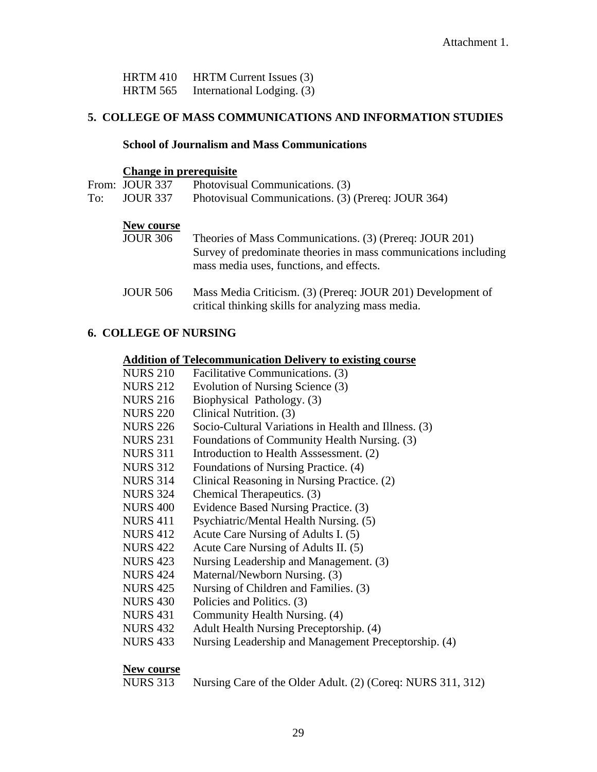| <b>HRTM 410</b> | <b>HRTM</b> Current Issues (3) |
|-----------------|--------------------------------|
| <b>HRTM 565</b> | International Lodging. (3)     |

# **5. COLLEGE OF MASS COMMUNICATIONS AND INFORMATION STUDIES**

#### **School of Journalism and Mass Communications**

#### **Change in prerequisite**

|                          | From: JOUR 337  | Photovisual Communications. (3)                                                                                   |
|--------------------------|-----------------|-------------------------------------------------------------------------------------------------------------------|
| <b>JOUR 337</b><br>To: T |                 | Photovisual Communications. (3) (Prereq: JOUR 364)                                                                |
|                          | New course      |                                                                                                                   |
|                          | <b>JOUR 306</b> | Theories of Mass Communications. (3) (Prereq: JOUR 201)                                                           |
|                          |                 | Survey of predominate theories in mass communications including<br>mass media uses, functions, and effects.       |
|                          | <b>JOUR 506</b> | Mass Media Criticism. (3) (Prereq: JOUR 201) Development of<br>critical thinking skills for analyzing mass media. |

# **6. COLLEGE OF NURSING**

#### **Addition of Telecommunication Delivery to existing course**

| <b>NURS 210</b> | Facilitative Communications. (3)                     |
|-----------------|------------------------------------------------------|
| <b>NURS 212</b> | Evolution of Nursing Science (3)                     |
| <b>NURS 216</b> | Biophysical Pathology. (3)                           |
| <b>NURS 220</b> | Clinical Nutrition. (3)                              |
| <b>NURS 226</b> | Socio-Cultural Variations in Health and Illness. (3) |
| <b>NURS 231</b> | Foundations of Community Health Nursing. (3)         |
| <b>NURS 311</b> | Introduction to Health Asssessment. (2)              |
| <b>NURS 312</b> | Foundations of Nursing Practice. (4)                 |
| <b>NURS 314</b> | Clinical Reasoning in Nursing Practice. (2)          |
| <b>NURS 324</b> | Chemical Therapeutics. (3)                           |
| <b>NURS 400</b> | Evidence Based Nursing Practice. (3)                 |
| <b>NURS 411</b> | Psychiatric/Mental Health Nursing. (5)               |
| <b>NURS 412</b> | Acute Care Nursing of Adults I. (5)                  |
| <b>NURS 422</b> | Acute Care Nursing of Adults II. (5)                 |
| <b>NURS 423</b> | Nursing Leadership and Management. (3)               |
| <b>NURS 424</b> | Maternal/Newborn Nursing. (3)                        |
| <b>NURS 425</b> | Nursing of Children and Families. (3)                |
| <b>NURS 430</b> | Policies and Politics. (3)                           |
| <b>NURS 431</b> | Community Health Nursing. (4)                        |
| <b>NURS 432</b> | Adult Health Nursing Preceptorship. (4)              |
| <b>NURS 433</b> | Nursing Leadership and Management Preceptorship. (4) |
|                 |                                                      |

#### **New course**

| <b>NURS</b> 313 |  |  | Nursing Care of the Older Adult. (2) (Coreq: NURS 311, 312) |  |
|-----------------|--|--|-------------------------------------------------------------|--|
|-----------------|--|--|-------------------------------------------------------------|--|